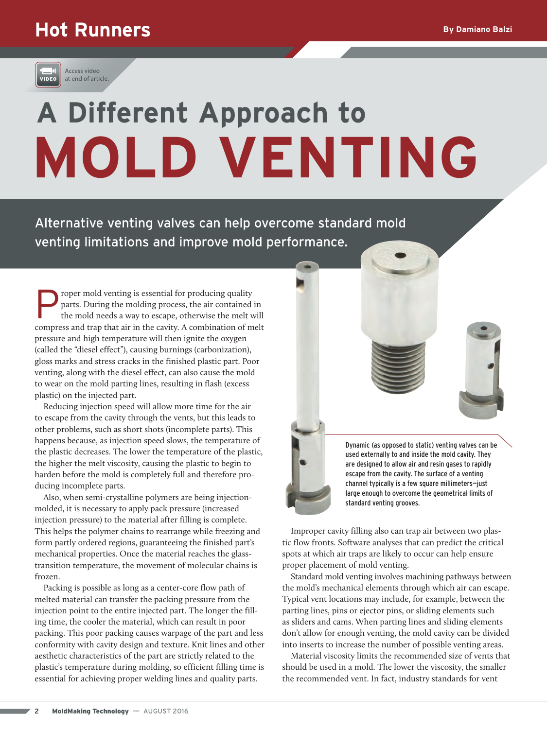# **Hot Runners**



# **A Different Approach to MOLD VENTING**

Alternative venting valves can help overcome standard mold venting limitations and improve mold performance.

**Example 1** roper mold venting is essential for producing quality parts. During the molding process, the air contained the mold needs a way to escape, otherwise the melt v parts. During the molding process, the air contained in the mold needs a way to escape, otherwise the melt will compress and trap that air in the cavity. A combination of melt pressure and high temperature will then ignite the oxygen (called the "diesel effect"), causing burnings (carbonization), gloss marks and stress cracks in the finished plastic part. Poor venting, along with the diesel effect, can also cause the mold to wear on the mold parting lines, resulting in flash (excess plastic) on the injected part.

Reducing injection speed will allow more time for the air to escape from the cavity through the vents, but this leads to other problems, such as short shots (incomplete parts). This happens because, as injection speed slows, the temperature of the plastic decreases. The lower the temperature of the plastic, the higher the melt viscosity, causing the plastic to begin to harden before the mold is completely full and therefore producing incomplete parts.

Also, when semi-crystalline polymers are being injectionmolded, it is necessary to apply pack pressure (increased injection pressure) to the material after filling is complete. This helps the polymer chains to rearrange while freezing and form partly ordered regions, guaranteeing the finished part's mechanical properties. Once the material reaches the glasstransition temperature, the movement of molecular chains is frozen.

Packing is possible as long as a center-core flow path of melted material can transfer the packing pressure from the injection point to the entire injected part. The longer the filling time, the cooler the material, which can result in poor packing. This poor packing causes warpage of the part and less conformity with cavity design and texture. Knit lines and other aesthetic characteristics of the part are strictly related to the plastic's temperature during molding, so efficient filling time is essential for achieving proper welding lines and quality parts.



Improper cavity filling also can trap air between two plastic flow fronts. Software analyses that can predict the critical spots at which air traps are likely to occur can help ensure proper placement of mold venting.

Standard mold venting involves machining pathways between the mold's mechanical elements through which air can escape. Typical vent locations may include, for example, between the parting lines, pins or ejector pins, or sliding elements such as sliders and cams. When parting lines and sliding elements don't allow for enough venting, the mold cavity can be divided into inserts to increase the number of possible venting areas.

Material viscosity limits the recommended size of vents that should be used in a mold. The lower the viscosity, the smaller the recommended vent. In fact, industry standards for vent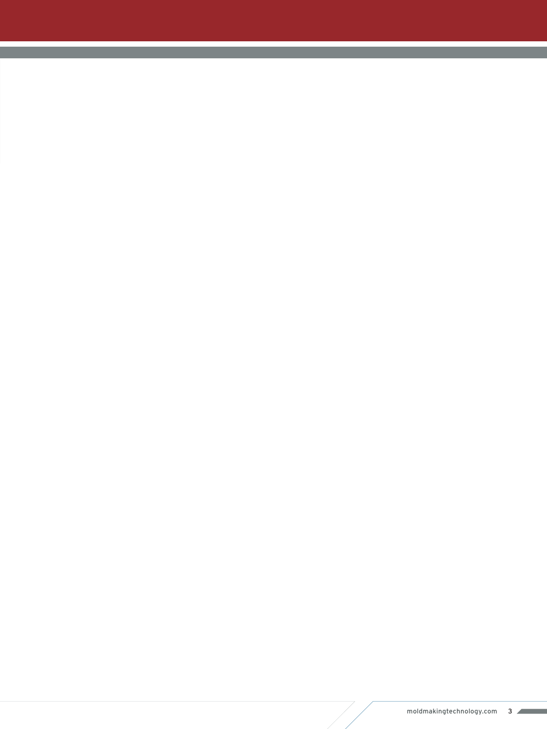moldmakingtechnology.com 3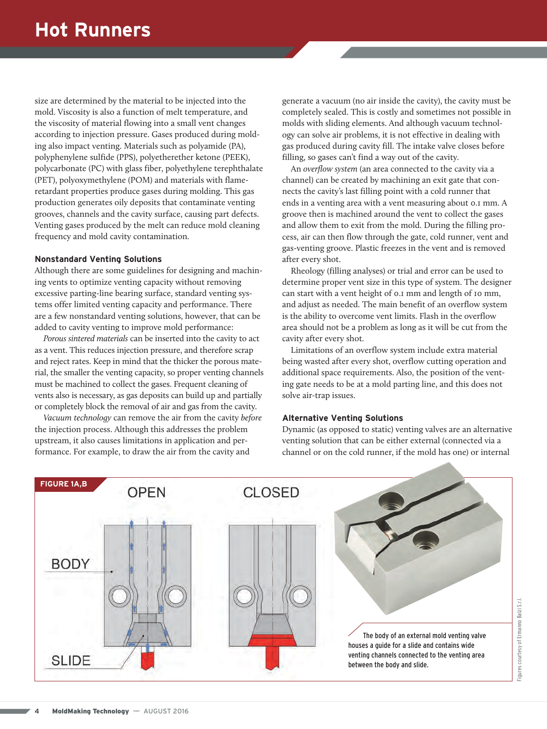size are determined by the material to be injected into the mold. Viscosity is also a function of melt temperature, and the viscosity of material flowing into a small vent changes according to injection pressure. Gases produced during molding also impact venting. Materials such as polyamide (PA), polyphenylene sulfide (PPS), polyetherether ketone (PEEK), polycarbonate (PC) with glass fiber, polyethylene terephthalate (PET), polyoxymethylene (POM) and materials with flameretardant properties produce gases during molding. This gas production generates oily deposits that contaminate venting grooves, channels and the cavity surface, causing part defects. Venting gases produced by the melt can reduce mold cleaning frequency and mold cavity contamination.

#### **Nonstandard Venting Solutions**

Although there are some guidelines for designing and machining vents to optimize venting capacity without removing excessive parting-line bearing surface, standard venting systems offer limited venting capacity and performance. There are a few nonstandard venting solutions, however, that can be added to cavity venting to improve mold performance:

*Porous sintered materials* can be inserted into the cavity to act as a vent. This reduces injection pressure, and therefore scrap and reject rates. Keep in mind that the thicker the porous material, the smaller the venting capacity, so proper venting channels must be machined to collect the gases. Frequent cleaning of vents also is necessary, as gas deposits can build up and partially or completely block the removal of air and gas from the cavity.

*Vacuum technology* can remove the air from the cavity *before* the injection process. Although this addresses the problem upstream, it also causes limitations in application and performance. For example, to draw the air from the cavity and

generate a vacuum (no air inside the cavity), the cavity must be completely sealed. This is costly and sometimes not possible in molds with sliding elements. And although vacuum technology can solve air problems, it is not effective in dealing with gas produced during cavity fill. The intake valve closes before filling, so gases can't find a way out of the cavity.

An *overflow system* (an area connected to the cavity via a channel) can be created by machining an exit gate that connects the cavity's last filling point with a cold runner that ends in a venting area with a vent measuring about 0.1 mm. A groove then is machined around the vent to collect the gases and allow them to exit from the mold. During the filling process, air can then flow through the gate, cold runner, vent and gas-venting groove. Plastic freezes in the vent and is removed after every shot.

Rheology (filling analyses) or trial and error can be used to determine proper vent size in this type of system. The designer can start with a vent height of 0.1 mm and length of 10 mm, and adjust as needed. The main benefit of an overflow system is the ability to overcome vent limits. Flash in the overflow area should not be a problem as long as it will be cut from the cavity after every shot.

Limitations of an overflow system include extra material being wasted after every shot, overflow cutting operation and additional space requirements. Also, the position of the venting gate needs to be at a mold parting line, and this does not solve air-trap issues.

## **Alternative Venting Solutions**

Dynamic (as opposed to static) venting valves are an alternative venting solution that can be either external (connected via a channel or on the cold runner, if the mold has one) or internal

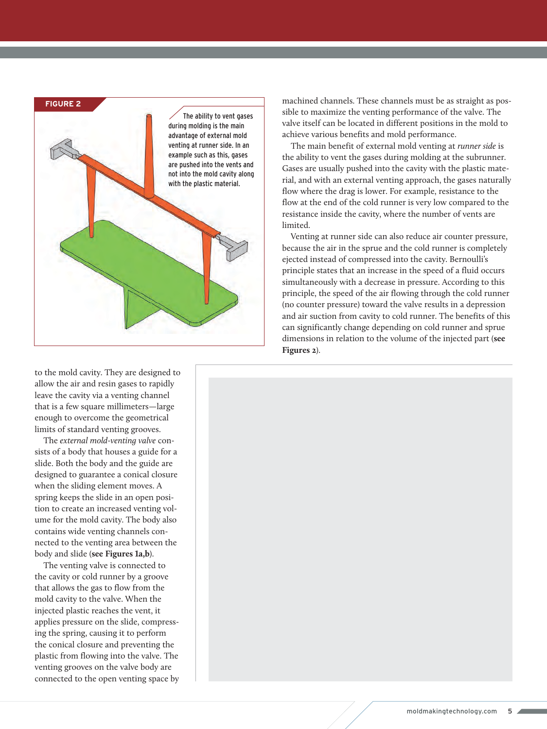

to the mold cavity. They are designed to allow the air and resin gases to rapidly leave the cavity via a venting channel that is a few square millimeters—large enough to overcome the geometrical limits of standard venting grooves.

The *external mold-venting valve* consists of a body that houses a guide for a slide. Both the body and the guide are designed to guarantee a conical closure when the sliding element moves. A spring keeps the slide in an open position to create an increased venting volume for the mold cavity. The body also contains wide venting channels connected to the venting area between the body and slide (**see Figures 1a,b**).

The venting valve is connected to the cavity or cold runner by a groove that allows the gas to flow from the mold cavity to the valve. When the injected plastic reaches the vent, it applies pressure on the slide, compressing the spring, causing it to perform the conical closure and preventing the plastic from flowing into the valve. The venting grooves on the valve body are connected to the open venting space by machined channels. These channels must be as straight as possible to maximize the venting performance of the valve. The valve itself can be located in different positions in the mold to achieve various benefits and mold performance.

The main benefit of external mold venting at *runner side* is the ability to vent the gases during molding at the subrunner. Gases are usually pushed into the cavity with the plastic material, and with an external venting approach, the gases naturally flow where the drag is lower. For example, resistance to the flow at the end of the cold runner is very low compared to the resistance inside the cavity, where the number of vents are limited.

Venting at runner side can also reduce air counter pressure, because the air in the sprue and the cold runner is completely ejected instead of compressed into the cavity. Bernoulli's principle states that an increase in the speed of a fluid occurs simultaneously with a decrease in pressure. According to this principle, the speed of the air flowing through the cold runner (no counter pressure) toward the valve results in a depression and air suction from cavity to cold runner. The benefits of this can significantly change depending on cold runner and sprue dimensions in relation to the volume of the injected part (**see Figures 2**).

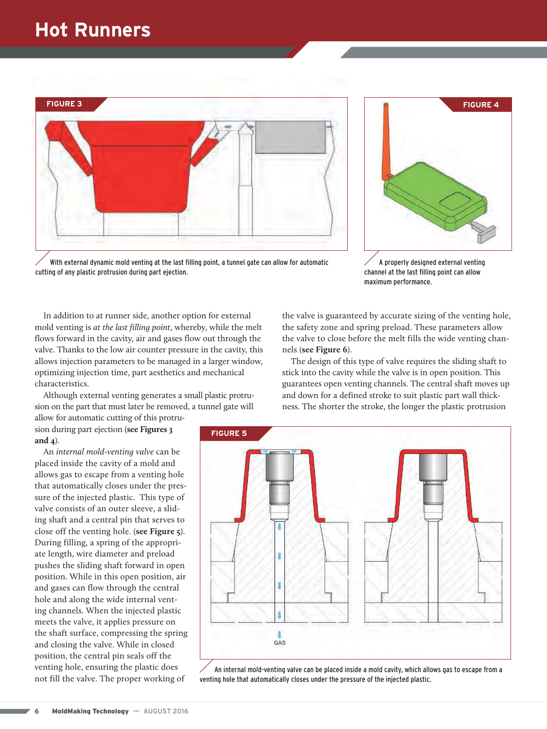# **Hot Runners**



With external dynamic mold venting at the last filling point, a tunnel gate can allow for automatic cutting of any plastic protrusion during part ejection.



A properly designed external venting channel at the last filling point can allow maximum performance.

In addition to at runner side, another option for external mold venting is *at the last filling point*, whereby, while the melt flows forward in the cavity, air and gases flow out through the valve. Thanks to the low air counter pressure in the cavity, this allows injection parameters to be managed in a larger window, optimizing injection time, part aesthetics and mechanical characteristics.

Although external venting generates a small plastic protrusion on the part that must later be removed, a tunnel gate will allow for automatic cutting of this protruthe valve is guaranteed by accurate sizing of the venting hole, the safety zone and spring preload. These parameters allow the valve to close before the melt fills the wide venting channels (**see Figure 6**).

The design of this type of valve requires the sliding shaft to stick into the cavity while the valve is in open position. This guarantees open venting channels. The central shaft moves up and down for a defined stroke to suit plastic part wall thickness. The shorter the stroke, the longer the plastic protrusion



An internal mold-venting valve can be placed inside a mold cavity, which allows gas to escape from a venting hole that automatically closes under the pressure of the injected plastic.

sion during part ejection (**see Figures 3 and 4**).

An *internal mold-venting valve* can be placed inside the cavity of a mold and allows gas to escape from a venting hole that automatically closes under the pressure of the injected plastic. This type of valve consists of an outer sleeve, a sliding shaft and a central pin that serves to close off the venting hole. (**see Figure 5**). During filling, a spring of the appropriate length, wire diameter and preload pushes the sliding shaft forward in open position. While in this open position, air and gases can flow through the central hole and along the wide internal venting channels. When the injected plastic meets the valve, it applies pressure on the shaft surface, compressing the spring and closing the valve. While in closed position, the central pin seals off the venting hole, ensuring the plastic does not fill the valve. The proper working of